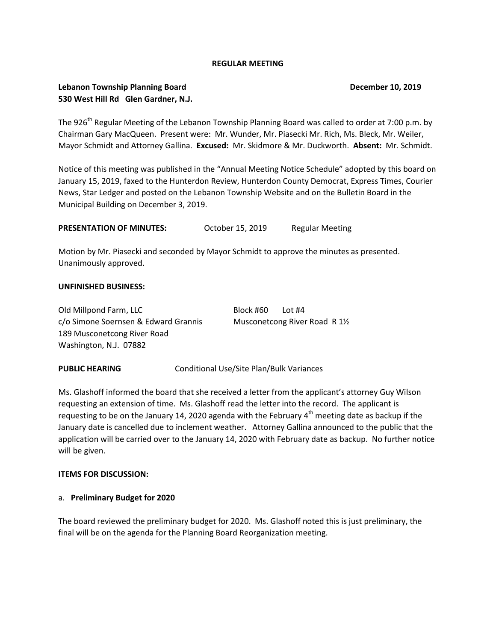## **REGULAR MEETING**

# **Lebanon Township Planning Board December 10, 2019 530 West Hill Rd Glen Gardner, N.J.**

The 926<sup>th</sup> Regular Meeting of the Lebanon Township Planning Board was called to order at 7:00 p.m. by Chairman Gary MacQueen. Present were: Mr. Wunder, Mr. Piasecki Mr. Rich, Ms. Bleck, Mr. Weiler, Mayor Schmidt and Attorney Gallina. **Excused:** Mr. Skidmore & Mr. Duckworth. **Absent:** Mr. Schmidt.

Notice of this meeting was published in the "Annual Meeting Notice Schedule" adopted by this board on January 15, 2019, faxed to the Hunterdon Review, Hunterdon County Democrat, Express Times, Courier News, Star Ledger and posted on the Lebanon Township Website and on the Bulletin Board in the Municipal Building on December 3, 2019.

**PRESENTATION OF MINUTES:** October 15, 2019 Regular Meeting

Motion by Mr. Piasecki and seconded by Mayor Schmidt to approve the minutes as presented. Unanimously approved.

#### **UNFINISHED BUSINESS:**

| Old Millpond Farm, LLC               | Block #60 | Lot #4                       |  |
|--------------------------------------|-----------|------------------------------|--|
| c/o Simone Soernsen & Edward Grannis |           | Musconetcong River Road R 1½ |  |
| 189 Musconetcong River Road          |           |                              |  |
| Washington, N.J. 07882               |           |                              |  |

**PUBLIC HEARING Conditional Use/Site Plan/Bulk Variances** 

Ms. Glashoff informed the board that she received a letter from the applicant's attorney Guy Wilson requesting an extension of time. Ms. Glashoff read the letter into the record. The applicant is requesting to be on the January 14, 2020 agenda with the February 4<sup>th</sup> meeting date as backup if the January date is cancelled due to inclement weather. Attorney Gallina announced to the public that the application will be carried over to the January 14, 2020 with February date as backup. No further notice will be given.

#### **ITEMS FOR DISCUSSION:**

#### a. **Preliminary Budget for 2020**

The board reviewed the preliminary budget for 2020. Ms. Glashoff noted this is just preliminary, the final will be on the agenda for the Planning Board Reorganization meeting.